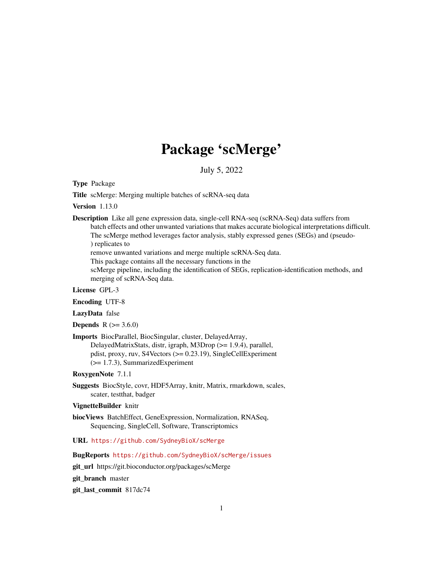# Package 'scMerge'

July 5, 2022

Type Package

Title scMerge: Merging multiple batches of scRNA-seq data

Version 1.13.0

Description Like all gene expression data, single-cell RNA-seq (scRNA-Seq) data suffers from batch effects and other unwanted variations that makes accurate biological interpretations difficult. The scMerge method leverages factor analysis, stably expressed genes (SEGs) and (pseudo- ) replicates to

remove unwanted variations and merge multiple scRNA-Seq data.

This package contains all the necessary functions in the

scMerge pipeline, including the identification of SEGs, replication-identification methods, and merging of scRNA-Seq data.

License GPL-3

Encoding UTF-8

LazyData false

**Depends**  $R (= 3.6.0)$ 

Imports BiocParallel, BiocSingular, cluster, DelayedArray, DelayedMatrixStats, distr, igraph, M3Drop (>= 1.9.4), parallel, pdist, proxy, ruv, S4Vectors (>= 0.23.19), SingleCellExperiment (>= 1.7.3), SummarizedExperiment

RoxygenNote 7.1.1

Suggests BiocStyle, covr, HDF5Array, knitr, Matrix, rmarkdown, scales, scater, testthat, badger

# VignetteBuilder knitr

biocViews BatchEffect, GeneExpression, Normalization, RNASeq, Sequencing, SingleCell, Software, Transcriptomics

URL <https://github.com/SydneyBioX/scMerge>

BugReports <https://github.com/SydneyBioX/scMerge/issues>

git\_url https://git.bioconductor.org/packages/scMerge

git branch master

git\_last\_commit 817dc74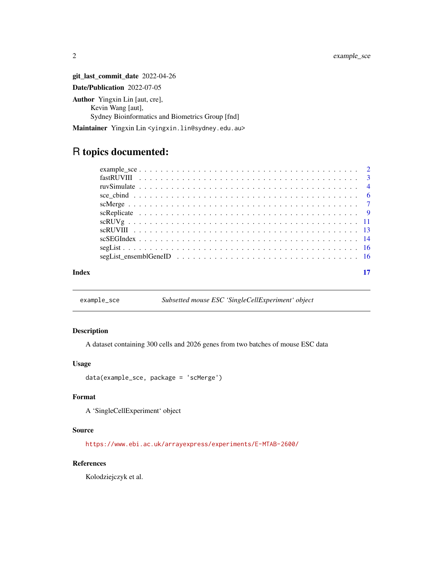git\_last\_commit\_date 2022-04-26 Date/Publication 2022-07-05 Author Yingxin Lin [aut, cre], Kevin Wang [aut], Sydney Bioinformatics and Biometrics Group [fnd]

Maintainer Yingxin Lin <yingxin.lin@sydney.edu.au>

# R topics documented:

| Index |  |
|-------|--|

example\_sce *Subsetted mouse ESC 'SingleCellExperiment' object*

# Description

A dataset containing 300 cells and 2026 genes from two batches of mouse ESC data

#### Usage

```
data(example_sce, package = 'scMerge')
```
# Format

A 'SingleCellExperiment' object

# Source

<https://www.ebi.ac.uk/arrayexpress/experiments/E-MTAB-2600/>

# References

Kolodziejczyk et al.

<span id="page-1-0"></span>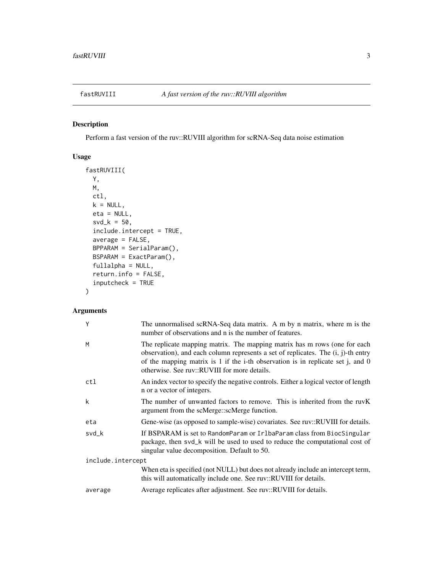<span id="page-2-0"></span>

Perform a fast version of the ruv::RUVIII algorithm for scRNA-Seq data noise estimation

# Usage

```
fastRUVIII(
 Y,
 M,
 ctl,
 k = NULL,eta = NULL,
 svd_k = 50,
 include.intercept = TRUE,
 average = FALSE,BPPARAM = SerialParam(),
 BSPARAM = ExactParam(),
 fullalpha = NULL,
 return.info = FALSE,
  inputcheck = TRUE
\mathcal{L}
```
# Arguments

| Y                 | The unnormalised scRNA-Seq data matrix. A m by n matrix, where m is the<br>number of observations and n is the number of features.                                                                                                                                                                     |  |
|-------------------|--------------------------------------------------------------------------------------------------------------------------------------------------------------------------------------------------------------------------------------------------------------------------------------------------------|--|
| M                 | The replicate mapping matrix. The mapping matrix has m rows (one for each<br>observation), and each column represents a set of replicates. The $(i, j)$ -th entry<br>of the mapping matrix is 1 if the i-th observation is in replicate set j, and $0$<br>otherwise. See ruy::RUVIII for more details. |  |
| ctl               | An index vector to specify the negative controls. Either a logical vector of length<br>n or a vector of integers.                                                                                                                                                                                      |  |
| k                 | The number of unwanted factors to remove. This is inherited from the ruvK<br>argument from the scMerge::scMerge function.                                                                                                                                                                              |  |
| eta               | Gene-wise (as opposed to sample-wise) covariates. See ruv::RUVIII for details.                                                                                                                                                                                                                         |  |
| svd_k             | If BSPARAM is set to RandomParam or IrlbaParam class from BiocSingular<br>package, then svd_k will be used to used to reduce the computational cost of<br>singular value decomposition. Default to 50.                                                                                                 |  |
| include.intercept |                                                                                                                                                                                                                                                                                                        |  |
|                   | When eta is specified (not NULL) but does not already include an intercept term,<br>this will automatically include one. See ruv::RUVIII for details.                                                                                                                                                  |  |
| average           | Average replicates after adjustment. See ruv::RUVIII for details.                                                                                                                                                                                                                                      |  |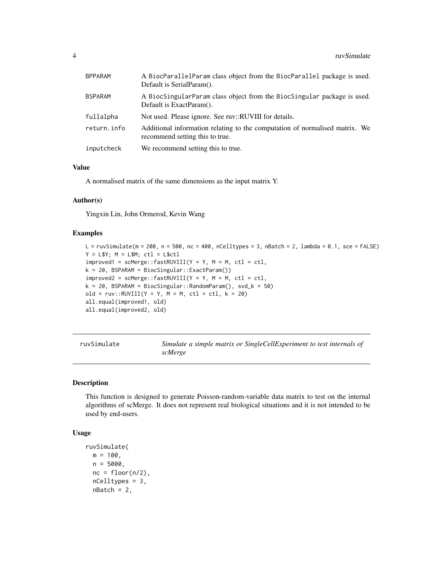<span id="page-3-0"></span>

| <b>BPPARAM</b> | A BiocParallelParam class object from the BiocParallel package is used.<br>Default is SerialParam().           |
|----------------|----------------------------------------------------------------------------------------------------------------|
| <b>BSPARAM</b> | A BiocSingularParam class object from the BiocSingular package is used.<br>Default is ExactParam().            |
| fullalpha      | Not used. Please ignore. See ruy::RUVIII for details.                                                          |
| return.info    | Additional information relating to the computation of normalised matrix. We<br>recommend setting this to true. |
| inputcheck     | We recommend setting this to true.                                                                             |

# Value

A normalised matrix of the same dimensions as the input matrix Y.

### Author(s)

Yingxin Lin, John Ormerod, Kevin Wang

### Examples

```
L = \text{ruvSimulate} (m = 200, n = 500, nc = 400, nCelltypes = 3, nBatch = 2, lambda = 0.1, sce = FALSE)
Y = L$Y; M = L$M; ct1 = L$ctlimproved1 = \text{scMerge::fastRUVIII}(Y = Y, M = M, \text{ctl} = \text{ctl},k = 20, BSPARAM = BiocSingular::ExactParam())
improved2 = \text{scMerge::fastRUVIII}(Y = Y, M = M, \text{ctl} = \text{ctl},k = 20, BSPARAM = BiocSingular::RandomParam(), svd_k = 50)
old = ruv::RUVIII(Y = Y, M = M, ct1 = ct1, k = 20)all.equal(improved1, old)
all.equal(improved2, old)
```

| ruvSimulate | Simulate a simple matrix or SingleCellExperiment to test internals of |
|-------------|-----------------------------------------------------------------------|
|             | scMerge                                                               |

# Description

This function is designed to generate Poisson-random-variable data matrix to test on the internal algorithms of scMerge. It does not represent real biological situations and it is not intended to be used by end-users.

#### Usage

```
ruvSimulate(
 m = 100.
 n = 5000.
 nc = floor(n/2),
 nCelltypes = 3,
 nBatch = 2,
```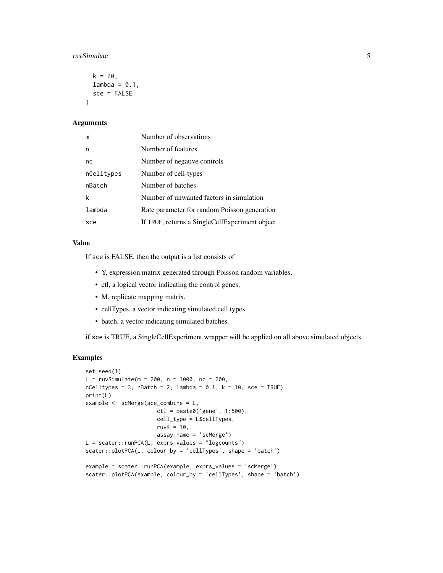#### ruvSimulate 5

```
k = 20,
  lambda = 0.1,
  sec = FALSE\lambda
```
# Arguments

| m          | Number of observations                         |
|------------|------------------------------------------------|
| n          | Number of features                             |
| nc         | Number of negative controls                    |
| nCelltypes | Number of cell-types                           |
| nBatch     | Number of batches                              |
| k          | Number of unwanted factors in simulation       |
| lambda     | Rate parameter for random Poisson generation   |
| sce        | If TRUE, returns a SingleCellExperiment object |

# Value

If sce is FALSE, then the output is a list consists of

- Y, expression matrix generated through Poisson random variables,
- ctl, a logical vector indicating the control genes,
- M, replicate mapping matrix,
- cellTypes, a vector indicating simulated cell types
- batch, a vector indicating simulated batches

if sce is TRUE, a SingleCellExperiment wrapper will be applied on all above simulated objects.

# Examples

```
set.seed(1)
L = ruvSimulate(m = 200, n = 1000, nc = 200,nCelltypes = 3, nBatch = 2, lambda = 0.1, k = 10, sce = TRUE)
print(L)
example <- scMerge(sce_combine = L,
                      ctl = paste0('gene', 1:500),cell_type = L$cellTypes,
                      ruvK = 10,
                      assay_name = 'scMerge')
L = \text{scatter::runPCA}(L, \text{ expres_values} = "logcounts")scater::plotPCA(L, colour_by = 'cellTypes', shape = 'batch')
example = scater::runPCA(example, exprs_values = 'scMerge')
scater::plotPCA(example, colour_by = 'cellTypes', shape = 'batch')
```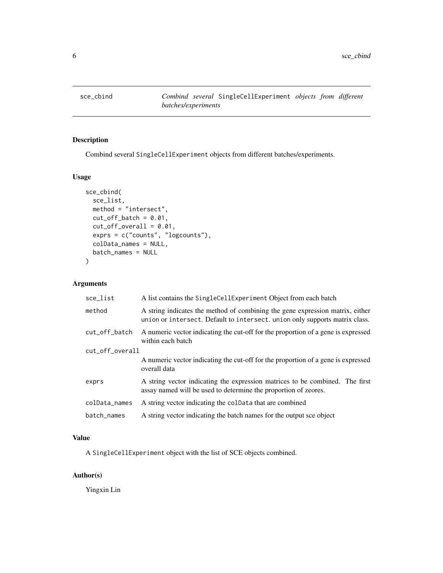<span id="page-5-0"></span>

Combind several SingleCellExperiment objects from different batches/experiments.

# Usage

```
sce_cbind(
 sce_list,
 method = "intersect",
 cut_of_batch = 0.01,
 cut_of_{overall} = 0.01,exprs = c("counts", "logcounts"),
 colData_names = NULL,
 batch_names = NULL
)
```
# Arguments

| sce_list        | A list contains the SingleCellExperiment Object from each batch                                                                                              |  |
|-----------------|--------------------------------------------------------------------------------------------------------------------------------------------------------------|--|
| method          | A string indicates the method of combining the gene expression matrix, either<br>union or intersect. Default to intersect. union only supports matrix class. |  |
| cut_off_batch   | A numeric vector indicating the cut-off for the proportion of a gene is expressed<br>within each batch                                                       |  |
| cut_off_overall |                                                                                                                                                              |  |
|                 | A numeric vector indicating the cut-off for the proportion of a gene is expressed<br>overall data                                                            |  |
| exprs           | A string vector indicating the expression matrices to be combined. The first<br>assay named will be used to determine the proportion of zeores.              |  |
| colData_names   | A string vector indicating the coldata that are combined                                                                                                     |  |
| batch_names     | A string vector indicating the batch names for the output sce object                                                                                         |  |

# Value

A SingleCellExperiment object with the list of SCE objects combined.

# Author(s)

Yingxin Lin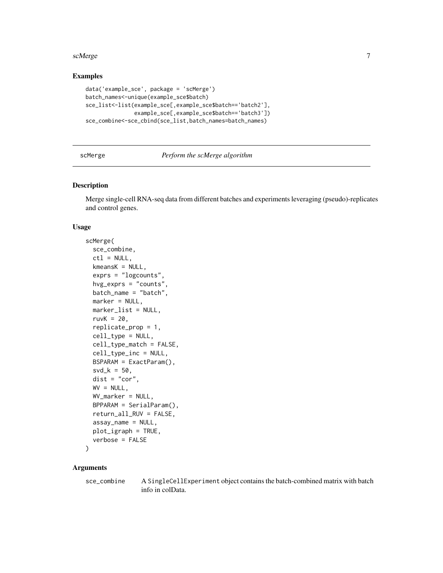#### <span id="page-6-0"></span>scMerge 7 and 2008 and 2008 and 2008 and 2008 and 2008 and 2008 and 2008 and 2008 and 2008 and 2008 and 2008 and 2008 and 2008 and 2008 and 2008 and 2008 and 2008 and 2008 and 2008 and 2008 and 2008 and 2008 and 2008 and 2

# Examples

```
data('example_sce', package = 'scMerge')
batch_names<-unique(example_sce$batch)
sce_list<-list(example_sce[,example_sce$batch=='batch2'],
               example_sce[,example_sce$batch=='batch3'])
sce_combine<-sce_cbind(sce_list,batch_names=batch_names)
```
# scMerge *Perform the scMerge algorithm*

# Description

Merge single-cell RNA-seq data from different batches and experiments leveraging (pseudo)-replicates and control genes.

# Usage

```
scMerge(
  sce_combine,
  ctl = NULL,kmeansK = NULL,
  exprs = "logcounts",
  hvg_exprs = "counts",
 batch_name = "batch",
 marker = NULL,
 marker_list = NULL,
  ruvK = 20,
  replicate_prop = 1,
  cell_type = NULL,cell_type_match = FALSE,
  cell_type_inc = NULL,
 BSPARAM = ExactParam(),
  svd_k = 50,
  dist = "cor",
 WV = NULL,WV_marker = NULL,
 BPPARAM = SerialParam(),
  return_all_RUV = FALSE,
  assay_name = NULL,
 plot_igraph = TRUE,
  verbose = FALSE
```

```
)
```
# Arguments

sce\_combine A SingleCellExperiment object contains the batch-combined matrix with batch info in colData.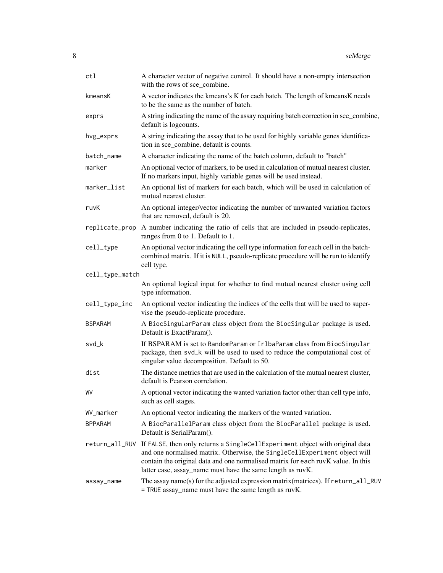| ctl             | A character vector of negative control. It should have a non-empty intersection<br>with the rows of sce_combine.                                                                                                                                                                                             |
|-----------------|--------------------------------------------------------------------------------------------------------------------------------------------------------------------------------------------------------------------------------------------------------------------------------------------------------------|
| kmeansK         | A vector indicates the kmeans's K for each batch. The length of kmeansK needs<br>to be the same as the number of batch.                                                                                                                                                                                      |
| exprs           | A string indicating the name of the assay requiring batch correction in sce_combine,<br>default is logcounts.                                                                                                                                                                                                |
| hvg_exprs       | A string indicating the assay that to be used for highly variable genes identifica-<br>tion in sce_combine, default is counts.                                                                                                                                                                               |
| batch_name      | A character indicating the name of the batch column, default to "batch"                                                                                                                                                                                                                                      |
| marker          | An optional vector of markers, to be used in calculation of mutual nearest cluster.<br>If no markers input, highly variable genes will be used instead.                                                                                                                                                      |
| marker_list     | An optional list of markers for each batch, which will be used in calculation of<br>mutual nearest cluster.                                                                                                                                                                                                  |
| ruvK            | An optional integer/vector indicating the number of unwanted variation factors<br>that are removed, default is 20.                                                                                                                                                                                           |
| replicate_prop  | A number indicating the ratio of cells that are included in pseudo-replicates,<br>ranges from 0 to 1. Default to 1.                                                                                                                                                                                          |
| cell_type       | An optional vector indicating the cell type information for each cell in the batch-<br>combined matrix. If it is NULL, pseudo-replicate procedure will be run to identify<br>cell type.                                                                                                                      |
| cell_type_match |                                                                                                                                                                                                                                                                                                              |
|                 | An optional logical input for whether to find mutual nearest cluster using cell<br>type information.                                                                                                                                                                                                         |
| cell_type_inc   | An optional vector indicating the indices of the cells that will be used to super-<br>vise the pseudo-replicate procedure.                                                                                                                                                                                   |
| <b>BSPARAM</b>  | A BiocSingularParam class object from the BiocSingular package is used.<br>Default is ExactParam().                                                                                                                                                                                                          |
| svd_k           | If BSPARAM is set to RandomParam or IrlbaParam class from BiocSingular<br>package, then svd_k will be used to used to reduce the computational cost of<br>singular value decomposition. Default to 50.                                                                                                       |
| dist            | The distance metrics that are used in the calculation of the mutual nearest cluster,<br>default is Pearson correlation.                                                                                                                                                                                      |
| WV              | A optional vector indicating the wanted variation factor other than cell type info,<br>such as cell stages.                                                                                                                                                                                                  |
| WV_marker       | An optional vector indicating the markers of the wanted variation.                                                                                                                                                                                                                                           |
| <b>BPPARAM</b>  | A BiocParallelParam class object from the BiocParallel package is used.<br>Default is SerialParam().                                                                                                                                                                                                         |
| return_all_RUV  | If FALSE, then only returns a SingleCellExperiment object with original data<br>and one normalised matrix. Otherwise, the SingleCellExperiment object will<br>contain the original data and one normalised matrix for each ruvK value. In this<br>latter case, assay_name must have the same length as ruvK. |
| assay_name      | The assay name(s) for the adjusted expression matrix (matrices). If return_all_RUV<br>$=$ TRUE assay_name must have the same length as ruvK.                                                                                                                                                                 |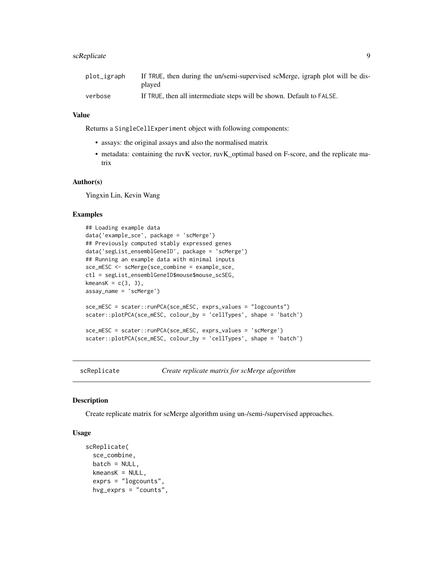# <span id="page-8-0"></span>scReplicate 9

# Value

Returns a SingleCellExperiment object with following components:

- assays: the original assays and also the normalised matrix
- metadata: containing the ruvK vector, ruvK\_optimal based on F-score, and the replicate matrix

# Author(s)

Yingxin Lin, Kevin Wang

### Examples

```
## Loading example data
data('example_sce', package = 'scMerge')
## Previously computed stably expressed genes
data('segList_ensemblGeneID', package = 'scMerge')
## Running an example data with minimal inputs
sce_mESC <- scMerge(sce_combine = example_sce,
ctl = segList_ensemblGeneID$mouse$mouse_scSEG,
kmeansK = c(3, 3),
assay_name = 'scMerge')
sce_mESC = scater::runPCA(sce_mESC, exprs_values = "logcounts")
scater::plotPCA(sce_mESC, colour_by = 'cellTypes', shape = 'batch')
sce_mESC = scater::runPCA(sce_mESC, exprs_values = 'scMerge')
scater::plotPCA(sce_mESC, colour_by = 'cellTypes', shape = 'batch')
```
scReplicate *Create replicate matrix for scMerge algorithm*

#### Description

Create replicate matrix for scMerge algorithm using un-/semi-/supervised approaches.

# Usage

```
scReplicate(
  sce_combine,
 batch = NULL,kmeansK = NULL,exprs = "logcounts",
  hvg_exprs = "counts",
```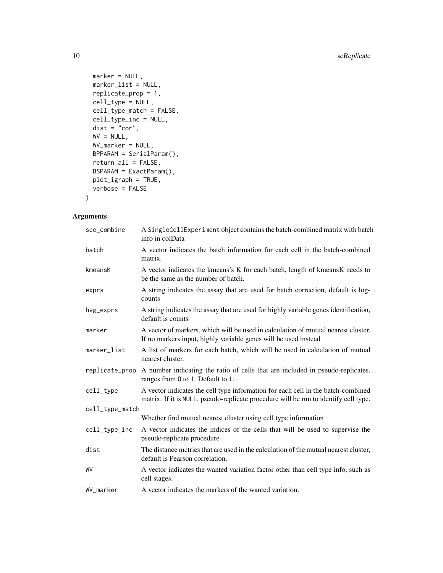```
marker = NULL,
 marker_list = NULL,
 replicate_prop = 1,
 cell_type = NULL,
  cell_type_match = FALSE,
  cell_type_inc = NULL,
 dist = "cor",WV = NULL,WV_marker = NULL,
 BPPARAM = SerialParam(),
 return_all = FALSE,
 BSPARAM = ExactParam(),
 plot_igraph = TRUE,
 verbose = FALSE
\mathcal{L}
```
# Arguments

| sce_combine     | A SingleCellExperiment object contains the batch-combined matrix with batch<br>info in colData                                                                           |
|-----------------|--------------------------------------------------------------------------------------------------------------------------------------------------------------------------|
| batch           | A vector indicates the batch information for each cell in the batch-combined<br>matrix.                                                                                  |
| kmeansK         | A vector indicates the kmeans's K for each batch, length of kmeansK needs to<br>be the same as the number of batch.                                                      |
| exprs           | A string indicates the assay that are used for batch correction, default is log-<br>counts                                                                               |
| hvg_exprs       | A string indicates the assay that are used for highly variable genes identification,<br>default is counts                                                                |
| marker          | A vector of markers, which will be used in calculation of mutual nearest cluster.<br>If no markers input, highly variable genes will be used instead                     |
| marker_list     | A list of markers for each batch, which will be used in calculation of mutual<br>nearest cluster.                                                                        |
| replicate_prop  | A number indicating the ratio of cells that are included in pseudo-replicates,<br>ranges from 0 to 1. Default to 1.                                                      |
| cell_type       | A vector indicates the cell type information for each cell in the batch-combined<br>matrix. If it is NULL, pseudo-replicate procedure will be run to identify cell type. |
| cell_type_match |                                                                                                                                                                          |
|                 | Whether find mutual nearest cluster using cell type information                                                                                                          |
| cell_type_inc   | A vector indicates the indices of the cells that will be used to supervise the<br>pseudo-replicate procedure                                                             |
| dist            | The distance metrics that are used in the calculation of the mutual nearest cluster,<br>default is Pearson correlation.                                                  |
| WV              | A vector indicates the wanted variation factor other than cell type info, such as<br>cell stages.                                                                        |
| WV_marker       | A vector indicates the markers of the wanted variation.                                                                                                                  |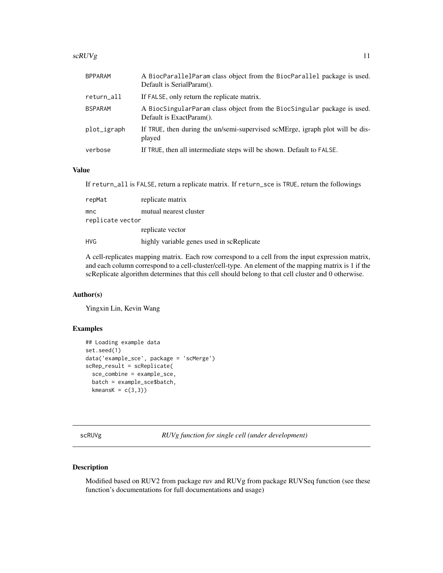#### <span id="page-10-0"></span> $scRUVg$  11

| <b>BPPARAM</b> | A BiocParallelParam class object from the BiocParallel package is used.<br>Default is SerialParam(). |
|----------------|------------------------------------------------------------------------------------------------------|
| return_all     | If FALSE, only return the replicate matrix.                                                          |
| <b>BSPARAM</b> | A BiocSingularParam class object from the BiocSingular package is used.<br>Default is ExactParam().  |
| plot_igraph    | If TRUE, then during the un/semi-supervised scMErge, igraph plot will be dis-<br>played              |
| verbose        | If TRUE, then all intermediate steps will be shown. Default to FALSE.                                |

# Value

If return\_all is FALSE, return a replicate matrix. If return\_sce is TRUE, return the followings

| repMat           | replicate matrix                          |
|------------------|-------------------------------------------|
| mnc              | mutual nearest cluster                    |
| replicate vector |                                           |
|                  | replicate vector                          |
| <b>HVG</b>       | highly variable genes used in scReplicate |

A cell-replicates mapping matrix. Each row correspond to a cell from the input expression matrix, and each column correspond to a cell-cluster/cell-type. An element of the mapping matrix is 1 if the scReplicate algorithm determines that this cell should belong to that cell cluster and 0 otherwise.

# Author(s)

Yingxin Lin, Kevin Wang

# Examples

```
## Loading example data
set.seed(1)
data('example_sce', package = 'scMerge')
scRep_result = scReplicate(
 sce_combine = example_sce,
 batch = example_sce$batch,
 kmeansK = c(3,3)
```
scRUVg *RUVg function for single cell (under development)*

# Description

Modified based on RUV2 from package ruv and RUVg from package RUVSeq function (see these function's documentations for full documentations and usage)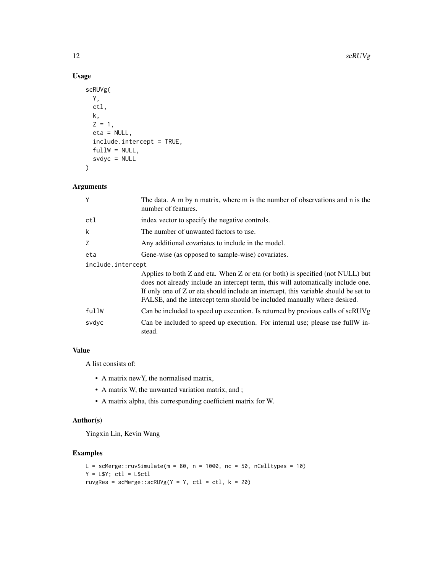# Usage

```
scRUVg(
  Y,
  ctl,
  k,
  Z = 1,
  eta = NULL,
  include.intercept = TRUE,
  fullW = NULL,svdyc = NULL
\mathcal{L}
```
# Arguments

| Υ                 | The data. A m by n matrix, where m is the number of observations and n is the<br>number of features.                                                                                                                                                                                                                                  |  |
|-------------------|---------------------------------------------------------------------------------------------------------------------------------------------------------------------------------------------------------------------------------------------------------------------------------------------------------------------------------------|--|
| ctl               | index vector to specify the negative controls.                                                                                                                                                                                                                                                                                        |  |
| k                 | The number of unwanted factors to use.                                                                                                                                                                                                                                                                                                |  |
| Ζ                 | Any additional covariates to include in the model.                                                                                                                                                                                                                                                                                    |  |
| eta               | Gene-wise (as opposed to sample-wise) covariates.                                                                                                                                                                                                                                                                                     |  |
| include.intercept |                                                                                                                                                                                                                                                                                                                                       |  |
|                   | Applies to both Z and eta. When Z or eta (or both) is specified (not NULL) but<br>does not already include an intercept term, this will automatically include one.<br>If only one of Z or eta should include an intercept, this variable should be set to<br>FALSE, and the intercept term should be included manually where desired. |  |
| fullW             | Can be included to speed up execution. Is returned by previous calls of scRUVg                                                                                                                                                                                                                                                        |  |
| svdyc             | Can be included to speed up execution. For internal use; please use fullW in-<br>stead.                                                                                                                                                                                                                                               |  |

# Value

A list consists of:

- A matrix newY, the normalised matrix,
- A matrix W, the unwanted variation matrix, and ;
- A matrix alpha, this corresponding coefficient matrix for W.

# Author(s)

Yingxin Lin, Kevin Wang

# Examples

```
L = scMerge::ruvSimulate(m = 80, n = 1000, nc = 50, nCelltypes = 10)
Y = L$Y; ct1 = L$ct1ruvgRes = scMerge::scRUVg(Y = Y, ctl = ctl, k = 20)
```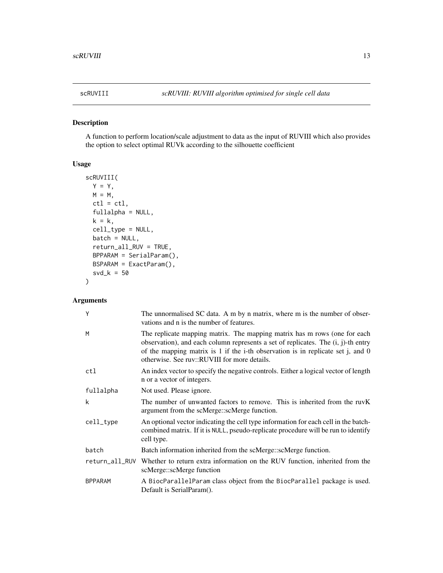<span id="page-12-0"></span>

A function to perform location/scale adjustment to data as the input of RUVIII which also provides the option to select optimal RUVk according to the silhouette coefficient

# Usage

```
scRUVIII(
 Y = Y,
 M = M,
 ctl = ctl,
  fullalpha = NULL,
 k = k,
 cell_type = NULL,
 batch = NULL,return_all_RUV = TRUE,
 BPPARAM = SerialParam(),
 BSPARAM = ExactParam(),
  svd_k = 50)
```
# Arguments

| Y              | The unnormalised SC data. A m by n matrix, where m is the number of obser-<br>vations and n is the number of features.                                                                                                                                                                                 |
|----------------|--------------------------------------------------------------------------------------------------------------------------------------------------------------------------------------------------------------------------------------------------------------------------------------------------------|
| M              | The replicate mapping matrix. The mapping matrix has m rows (one for each<br>observation), and each column represents a set of replicates. The $(i, j)$ -th entry<br>of the mapping matrix is 1 if the i-th observation is in replicate set j, and $0$<br>otherwise. See ruy::RUVIII for more details. |
| ctl            | An index vector to specify the negative controls. Either a logical vector of length<br>n or a vector of integers.                                                                                                                                                                                      |
| fullalpha      | Not used. Please ignore.                                                                                                                                                                                                                                                                               |
| k              | The number of unwanted factors to remove. This is inherited from the ruvK<br>argument from the scMerge::scMerge function.                                                                                                                                                                              |
| cell_type      | An optional vector indicating the cell type information for each cell in the batch-<br>combined matrix. If it is NULL, pseudo-replicate procedure will be run to identify<br>cell type.                                                                                                                |
| batch          | Batch information inherited from the scMerge::scMerge function.                                                                                                                                                                                                                                        |
|                | return_all_RUV Whether to return extra information on the RUV function, inherited from the<br>scMerge::scMerge function                                                                                                                                                                                |
| <b>BPPARAM</b> | A BiocParallelParam class object from the BiocParallel package is used.<br>Default is SerialParam().                                                                                                                                                                                                   |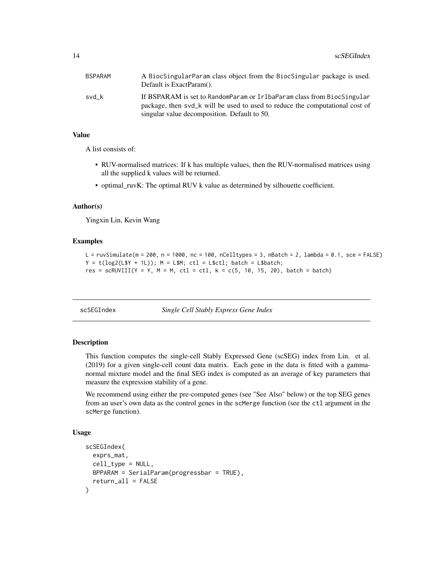<span id="page-13-0"></span>

| BSPARAM | A BiocSingularParam class object from the BiocSingular package is used.<br>Default is ExactParam().                                                                                                    |
|---------|--------------------------------------------------------------------------------------------------------------------------------------------------------------------------------------------------------|
| svd k   | If BSPARAM is set to RandomParam or IrlbaParam class from BiocSingular<br>package, then svd_k will be used to used to reduce the computational cost of<br>singular value decomposition. Default to 50. |

# Value

A list consists of:

- RUV-normalised matrices: If k has multiple values, then the RUV-normalised matrices using all the supplied k values will be returned.
- optimal\_ruvK: The optimal RUV k value as determined by silhouette coefficient.

# Author(s)

Yingxin Lin, Kevin Wang

# Examples

```
L = ruvSimulate(m = 200, n = 1000, nc = 100, nCelltypes = 3, nBatch = 2, lambda = 0.1, sec = FALSE)Y = t(\log 2(L5Y + 1L)); M = L5M; ctl = L$ctl; batch = L$batch;
res = scRUVIII(Y = Y, M = M, ctl = ctl, k = c(5, 10, 15, 20), batch = batch)
```
scSEGIndex *Single Cell Stably Express Gene Index*

# Description

This function computes the single-cell Stably Expressed Gene (scSEG) index from Lin. et al. (2019) for a given single-cell count data matrix. Each gene in the data is fitted with a gammanormal mixture model and the final SEG index is computed as an average of key parameters that measure the expression stability of a gene.

We recommend using either the pre-computed genes (see "See Also" below) or the top SEG genes from an user's own data as the control genes in the scMerge function (see the ctl argument in the scMerge function).

# Usage

```
scSEGIndex(
 exprs_mat,
 cell_type = NULL,BPPARAM = SerialParam(progressbar = TRUE),
  return_all = FALSE
)
```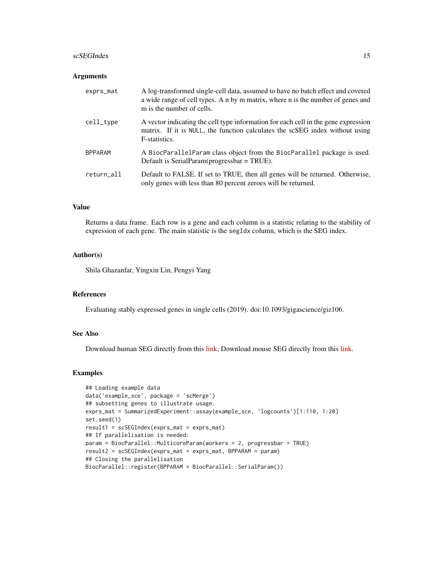#### scSEGIndex 15

#### **Arguments**

| exprs_mat      | A log-transformed single-cell data, assumed to have no batch effect and covered<br>a wide range of cell types. A n by m matrix, where n is the number of genes and<br>m is the number of cells. |
|----------------|-------------------------------------------------------------------------------------------------------------------------------------------------------------------------------------------------|
| cell_type      | A vector indicating the cell type information for each cell in the gene expression<br>matrix. If it is NULL, the function calculates the scSEG index without using<br>F-statistics.             |
| <b>BPPARAM</b> | A BiocParallelParam class object from the BiocParallel package is used.<br>Default is SerialParam(progressbar = $TRUE$ ).                                                                       |
| return_all     | Default to FALSE. If set to TRUE, then all genes will be returned. Otherwise,<br>only genes with less than 80 percent zeroes will be returned.                                                  |

# Value

Returns a data frame. Each row is a gene and each column is a statistic relating to the stability of expression of each gene. The main statistic is the segIdx column, which is the SEG index.

# Author(s)

Shila Ghazanfar, Yingxin Lin, Pengyi Yang

# References

Evaluating stably expressed genes in single cells (2019). doi:10.1093/gigascience/giz106.

# See Also

Download human SEG directly from this [link;](http://www.maths.usyd.edu.au/u/pengyi/software/scHK/scHK_human.xlsx) Download mouse SEG directly from this [link.](http://www.maths.usyd.edu.au/u/pengyi/software/scHK/scHK_mouse.xlsx)

#### Examples

```
## Loading example data
data('example_sce', package = 'scMerge')
## subsetting genes to illustrate usage.
exprs_mat = SummarizedExperiment::assay(example_sce, 'logcounts')[1:110, 1:20]
set.seed(1)
result1 = scSEGIndex(exprs_mat = exprs_mat)
## If parallelisation is needed:
param = BiocParallel::MulticoreParam(workers = 2, progressbar = TRUE)
result2 = scSEGIndex(exprs_mat = exprs_mat, BPPARAM = param)
## Closing the parallelisation
BiocParallel::register(BPPARAM = BiocParallel::SerialParam())
```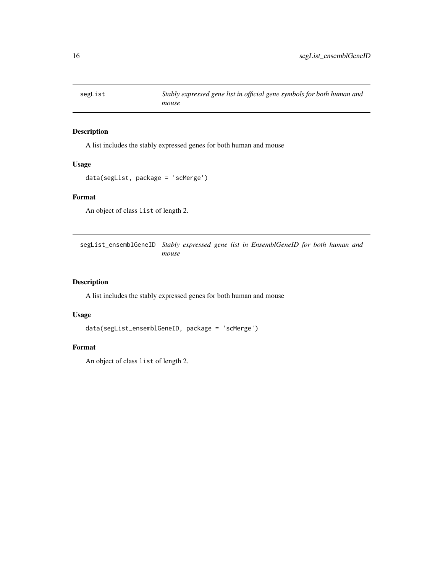<span id="page-15-0"></span>

A list includes the stably expressed genes for both human and mouse

# Usage

```
data(segList, package = 'scMerge')
```
# Format

An object of class list of length 2.

segList\_ensemblGeneID *Stably expressed gene list in EnsemblGeneID for both human and mouse*

# Description

A list includes the stably expressed genes for both human and mouse

# Usage

```
data(segList_ensemblGeneID, package = 'scMerge')
```
#### Format

An object of class list of length 2.